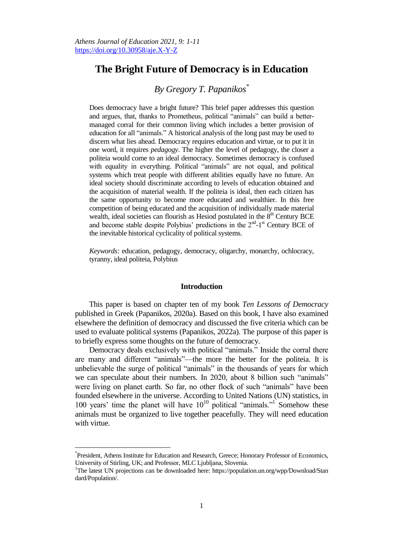# **The Bright Future of Democracy is in Education**

# *By Gregory T. Papanikos\**

Does democracy have a bright future? This brief paper addresses this question and argues, that, thanks to Prometheus, political "animals" can build a bettermanaged corral for their common living which includes a better provision of education for all "animals." A historical analysis of the long past may be used to discern what lies ahead. Democracy requires education and virtue, or to put it in one word, it requires *pedagogy*. The higher the level of pedagogy, the closer a politeia would come to an ideal democracy. Sometimes democracy is confused with equality in everything. Political "animals" are not equal, and political systems which treat people with different abilities equally have no future. An ideal society should discriminate according to levels of education obtained and the acquisition of material wealth. If the politeia is ideal, then each citizen has the same opportunity to become more educated and wealthier. In this free competition of being educated and the acquisition of individually made material wealth, ideal societies can flourish as Hesiod postulated in the  $8<sup>th</sup>$  Century BCE and become stable despite Polybius' predictions in the  $2<sup>nd</sup>$ -1<sup>st</sup> Century BCE of the inevitable historical cyclicality of political systems.

*Keywords:* education, pedagogy, democracy, oligarchy, monarchy, ochlocracy, tyranny, ideal politeia, Polybius

## **Introduction**

This paper is based on chapter ten of my book *Ten Lessons of Democracy* published in Greek (Papanikos, 2020a). Based on this book, I have also examined elsewhere the definition of democracy and discussed the five criteria which can be used to evaluate political systems (Papanikos, 2022a). The purpose of this paper is to briefly express some thoughts on the future of democracy.

Democracy deals exclusively with political "animals." Inside the corral there are many and different "animals"—the more the better for the politeia. It is unbelievable the surge of political "animals" in the thousands of years for which we can speculate about their numbers. In 2020, about 8 billion such "animals" were living on planet earth. So far, no other flock of such "animals" have been founded elsewhere in the universe. According to United Nations (UN) statistics, in 100 years' time the planet will have  $10^{10}$  political "animals."<sup>1</sup> Somehow these animals must be organized to live together peacefully. They will need education with virtue.

 $\overline{a}$ 

<sup>\*</sup> President, Athens Institute for Education and Research, Greece; Honorary Professor of Economics, University of Stirling, UK; and Professor, MLC Ljubljana, Slovenia.

<sup>&</sup>lt;sup>1</sup>The latest UN projections can be downloaded here: https://population.un.org/wpp/Download/Stan dard/Population/.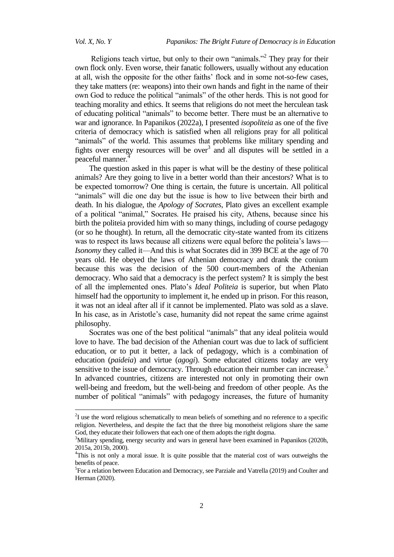$\overline{a}$ 

Religions teach virtue, but only to their own "animals."<sup>2</sup> They pray for their own flock only. Even worse, their fanatic followers, usually without any education at all, wish the opposite for the other faiths' flock and in some not-so-few cases, they take matters (re: weapons) into their own hands and fight in the name of their own God to reduce the political "animals" of the other herds. This is not good for teaching morality and ethics. It seems that religions do not meet the herculean task of educating political "animals" to become better. There must be an alternative to war and ignorance. In Papanikos (2022a), I presented *isopoliteia* as one of the five criteria of democracy which is satisfied when all religions pray for all political "animals" of the world. This assumes that problems like military spending and fights over energy resources will be over $3$  and all disputes will be settled in a peaceful manner.

The question asked in this paper is what will be the destiny of these political animals? Are they going to live in a better world than their ancestors? What is to be expected tomorrow? One thing is certain, the future is uncertain. All political "animals" will die one day but the issue is how to live between their birth and death. In his dialogue, the *Apology of Socrates*, Plato gives an excellent example of a political "animal," Socrates. He praised his city, Athens, because since his birth the politeia provided him with so many things, including of course pedagogy (or so he thought). In return, all the democratic city-state wanted from its citizens was to respect its laws because all citizens were equal before the politeia's laws— *Isonomy* they called it—And this is what Socrates did in 399 BCE at the age of 70 years old. He obeyed the laws of Athenian democracy and drank the conium because this was the decision of the 500 court-members of the Athenian democracy. Who said that a democracy is the perfect system? It is simply the best of all the implemented ones. Plato's *Ideal Politeia* is superior, but when Plato himself had the opportunity to implement it, he ended up in prison. For this reason, it was not an ideal after all if it cannot be implemented. Plato was sold as a slave. In his case, as in Aristotle's case, humanity did not repeat the same crime against philosophy.

Socrates was one of the best political "animals" that any ideal politeia would love to have. The bad decision of the Athenian court was due to lack of sufficient education, or to put it better, a lack of pedagogy, which is a combination of education (*paideia*) and virtue (*agogi*). Some educated citizens today are very sensitive to the issue of democracy. Through education their number can increase.<sup>5</sup> In advanced countries, citizens are interested not only in promoting their own well-being and freedom, but the well-being and freedom of other people. As the number of political "animals" with pedagogy increases, the future of humanity

 $2<sup>2</sup>$ I use the word religious schematically to mean beliefs of something and no reference to a specific religion. Nevertheless, and despite the fact that the three big monotheist religions share the same God, they educate their followers that each one of them adopts the right dogma.

<sup>&</sup>lt;sup>3</sup>Military spending, energy security and wars in general have been examined in Papanikos (2020h, 2015a, 2015b, 2000).

<sup>&</sup>lt;sup>4</sup>This is not only a moral issue. It is quite possible that the material cost of wars outweighs the benefits of peace.

<sup>&</sup>lt;sup>5</sup>For a relation between Education and Democracy, see Parziale and Vatrella (2019) and Coulter and Herman (2020).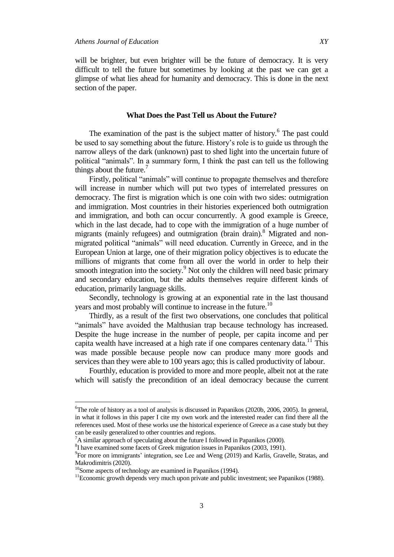will be brighter, but even brighter will be the future of democracy. It is very difficult to tell the future but sometimes by looking at the past we can get a glimpse of what lies ahead for humanity and democracy. This is done in the next section of the paper.

### **What Does the Past Tell us About the Future?**

The examination of the past is the subject matter of history.<sup>6</sup> The past could be used to say something about the future. History's role is to guide us through the narrow alleys of the dark (unknown) past to shed light into the uncertain future of political "animals". In a summary form, I think the past can tell us the following things about the future.<sup>7</sup>

Firstly, political "animals" will continue to propagate themselves and therefore will increase in number which will put two types of interrelated pressures on democracy. The first is migration which is one coin with two sides: outmigration and immigration. Most countries in their histories experienced both outmigration and immigration, and both can occur concurrently. A good example is Greece, which in the last decade, had to cope with the immigration of a huge number of migrants (mainly refugees) and outmigration (brain drain).<sup>8</sup> Migrated and nonmigrated political "animals" will need education. Currently in Greece, and in the European Union at large, one of their migration policy objectives is to educate the millions of migrants that come from all over the world in order to help their smooth integration into the society.<sup>9</sup> Not only the children will need basic primary and secondary education, but the adults themselves require different kinds of education, primarily language skills.

Secondly, technology is growing at an exponential rate in the last thousand years and most probably will continue to increase in the future.<sup>10</sup>

Thirdly, as a result of the first two observations, one concludes that political "animals" have avoided the Malthusian trap because technology has increased. Despite the huge increase in the number of people, per capita income and per capita wealth have increased at a high rate if one compares centenary data.<sup>11</sup> This was made possible because people now can produce many more goods and services than they were able to 100 years ago; this is called productivity of labour.

Fourthly, education is provided to more and more people, albeit not at the rate which will satisfy the precondition of an ideal democracy because the current

 $\overline{a}$ 

<sup>&</sup>lt;sup>6</sup>The role of history as a tool of analysis is discussed in Papanikos (2020b, 2006, 2005). In general, in what it follows in this paper I cite my own work and the interested reader can find there all the references used. Most of these works use the historical experience of Greece as a case study but they can be easily generalized to other countries and regions.

 ${}^{7}$ A similar approach of speculating about the future I followed in Papanikos (2000).

<sup>8</sup> I have examined some facets of Greek migration issues in Papanikos (2003, 1991).

<sup>&</sup>lt;sup>9</sup>For more on immigrants' integration, see Lee and Weng (2019) and Karlis, Gravelle, Stratas, and Makrodimitris (2020).

<sup>&</sup>lt;sup>10</sup>Some aspects of technology are examined in Papanikos (1994).

<sup>&</sup>lt;sup>11</sup>Economic growth depends very much upon private and public investment; see Papanikos (1988).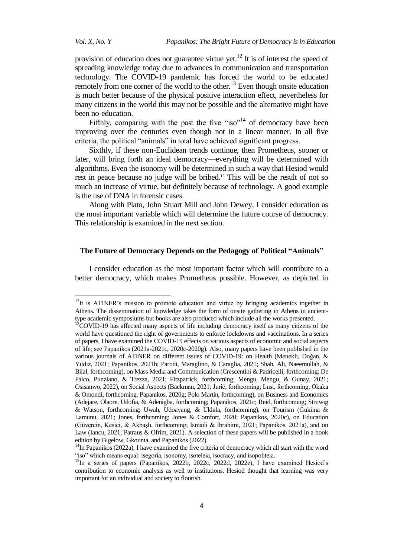$\overline{a}$ 

provision of education does not guarantee virtue yet.<sup>12</sup> It is of interest the speed of spreading knowledge today due to advances in communication and transportation technology. The COVID-19 pandemic has forced the world to be educated remotely from one corner of the world to the other.<sup>13</sup> Even though onsite education is much better because of the physical positive interaction effect, nevertheless for many citizens in the world this may not be possible and the alternative might have been no-education.

Fifthly, comparing with the past the five " $iso$ "<sup>14</sup> of democracy have been improving over the centuries even though not in a linear manner. In all five criteria, the political "animals" in total have achieved significant progress.

Sixthly, if these non-Euclidean trends continue, then Prometheus, sooner or later, will bring forth an ideal democracy—everything will be determined with algorithms. Even the isonomy will be determined in such a way that Hesiod would rest in peace because no judge will be bribed.<sup>15</sup> This will be the result of not so much an increase of virtue, but definitely because of technology. A good example is the use of DNA in forensic cases.

Along with Plato, John Stuart Mill and John Dewey, I consider education as the most important variable which will determine the future course of democracy. This relationship is examined in the next section.

# **The Future of Democracy Depends on the Pedagogy of Political "Animals"**

I consider education as the most important factor which will contribute to a better democracy, which makes Prometheus possible. However, as depicted in

<sup>&</sup>lt;sup>12</sup>It is ATINER's mission to promote education and virtue by bringing academics together in Athens. The dissemination of knowledge takes the form of onsite gathering in Athens in ancienttype academic symposiums but books are also produced which include all the works presented.

<sup>&</sup>lt;sup>13</sup>COVID-19 has affected many aspects of life including democracy itself as many citizens of the world have questioned the right of governments to enforce lockdowns and vaccinations. In a series of papers, I have examined the COVID-19 effects on various aspects of economic and social aspects of life; see Papanikos (2021a-2021c, 2020c-2020g). Also, many papers have been published in the various journals of ATINER on different issues of COVID-19: on Health (Menekli, Doğan, & Yıldız, 2021; Papanikos, 2021b; Parodi, Maraglino, & Caraglia, 2021; Shah, Ali, Naeemullah, & Bilal, forthcoming), on Mass Media and Communication (Crescentini & Padricelli, forthcoming; De Falco, Punziano, & Trezza, 2021; Fitzpatrick, forthcoming; Mengu, Mengu, & Gunay, 2021; Osisanwo, 2022), on Social Aspects (Bäckman, 2021; Jurić, forthcoming; Lust, forthcoming; Okaka & Omondi, forthcoming, Papanikos, 2020g; Polo Martín, forthcoming), on Business and Economics (Adejare, Olaore, Udofia, & Adenigba, forthcoming; Papanikos, 2021c; Reid, forthcoming; Struwig & Watson, forthcoming; Uwah, Udoayang, & Uklala, forthcoming), on Tourism (Gukiina & Lamunu, 2021; Jones, forthcoming; Jones & Comfort, 2020; Papanikos, 2020c), on Education (Güvercin, Kesici, & Akbaşlı, forthcoming; Ismaili & Ibrahimi, 2021; Papanikos, 2021a), and on Law (Iancu, 2021; Patraus & Ofrim, 2021). A selection of these papers will be published in a book edition by Bigelow, Gkounta, and Papanikos (2022).

 $14$ In Papanikos (2022a), I have examined the five criteria of democracy which all start with the word "iso" which means equal: isegoria, isonomy, isoteleia, isocracy, and isopoliteia.

<sup>&</sup>lt;sup>15</sup>In a series of papers (Papanikos, 2022b, 2022c, 2022d, 2022e), I have examined Hesiod's contribution to economic analysis as well to institutions. Hesiod thought that learning was very important for an individual and society to flourish.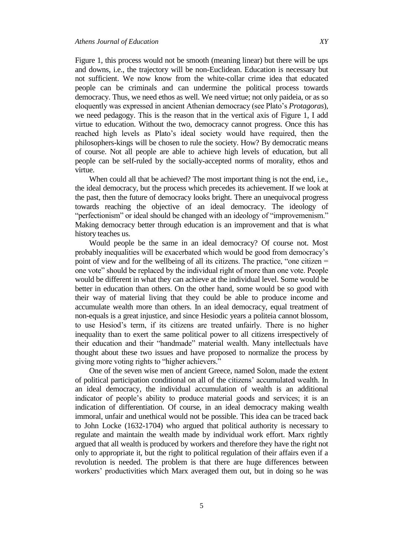Figure 1, this process would not be smooth (meaning linear) but there will be ups and downs, i.e., the trajectory will be non-Euclidean. Education is necessary but not sufficient. We now know from the white-collar crime idea that educated people can be criminals and can undermine the political process towards democracy. Thus, we need ethos as well. We need virtue; not only paideia, or as so eloquently was expressed in ancient Athenian democracy (see Plato's *Protagoras*), we need pedagogy. This is the reason that in the vertical axis of Figure 1, I add virtue to education. Without the two, democracy cannot progress. Once this has reached high levels as Plato's ideal society would have required, then the philosophers-kings will be chosen to rule the society. How? By democratic means of course. Not all people are able to achieve high levels of education, but all

virtue. When could all that be achieved? The most important thing is not the end, i.e., the ideal democracy, but the process which precedes its achievement. If we look at the past, then the future of democracy looks bright. There an unequivocal progress towards reaching the objective of an ideal democracy. The ideology of "perfectionism" or ideal should be changed with an ideology of "improvemenism." Making democracy better through education is an improvement and that is what history teaches us.

people can be self-ruled by the socially-accepted norms of morality, ethos and

Would people be the same in an ideal democracy? Of course not. Most probably inequalities will be exacerbated which would be good from democracy's point of view and for the wellbeing of all its citizens. The practice, "one citizen = one vote" should be replaced by the individual right of more than one vote. People would be different in what they can achieve at the individual level. Some would be better in education than others. On the other hand, some would be so good with their way of material living that they could be able to produce income and accumulate wealth more than others. In an ideal democracy, equal treatment of non-equals is a great injustice, and since Hesiodic years a politeia cannot blossom, to use Hesiod's term, if its citizens are treated unfairly. There is no higher inequality than to exert the same political power to all citizens irrespectively of their education and their "handmade" material wealth. Many intellectuals have thought about these two issues and have proposed to normalize the process by giving more voting rights to "higher achievers."

One of the seven wise men of ancient Greece, named Solon, made the extent of political participation conditional on all of the citizens' accumulated wealth. In an ideal democracy, the individual accumulation of wealth is an additional indicator of people's ability to produce material goods and services; it is an indication of differentiation. Of course, in an ideal democracy making wealth immoral, unfair and unethical would not be possible. This idea can be traced back to John Locke (1632-1704) who argued that political authority is necessary to regulate and maintain the wealth made by individual work effort. Marx rightly argued that all wealth is produced by workers and therefore they have the right not only to appropriate it, but the right to political regulation of their affairs even if a revolution is needed. The problem is that there are huge differences between workers' productivities which Marx averaged them out, but in doing so he was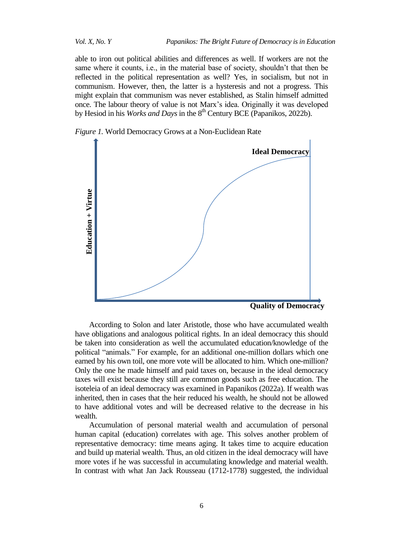able to iron out political abilities and differences as well. If workers are not the same where it counts, i.e., in the material base of society, shouldn't that then be reflected in the political representation as well? Yes, in socialism, but not in communism. However, then, the latter is a hysteresis and not a progress. This might explain that communism was never established, as Stalin himself admitted once. The labour theory of value is not Marx's idea. Originally it was developed by Hesiod in his *Works and Days* in the 8<sup>th</sup> Century BCE (Papanikos, 2022b).





**Quality of Democracy**

According to Solon and later Aristotle, those who have accumulated wealth have obligations and analogous political rights. In an ideal democracy this should be taken into consideration as well the accumulated education/knowledge of the political "animals." For example, for an additional one-million dollars which one earned by his own toil, one more vote will be allocated to him. Which one-million? Only the one he made himself and paid taxes on, because in the ideal democracy taxes will exist because they still are common goods such as free education. The isoteleia of an ideal democracy was examined in Papanikos (2022a). If wealth was inherited, then in cases that the heir reduced his wealth, he should not be allowed to have additional votes and will be decreased relative to the decrease in his wealth.

Accumulation of personal material wealth and accumulation of personal human capital (education) correlates with age. This solves another problem of representative democracy: time means aging. It takes time to acquire education and build up material wealth. Thus, an old citizen in the ideal democracy will have more votes if he was successful in accumulating knowledge and material wealth. In contrast with what Jan Jack Rousseau (1712-1778) suggested, the individual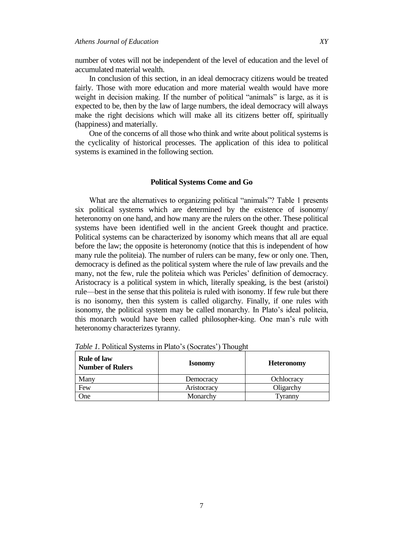number of votes will not be independent of the level of education and the level of accumulated material wealth.

In conclusion of this section, in an ideal democracy citizens would be treated fairly. Those with more education and more material wealth would have more weight in decision making. If the number of political "animals" is large, as it is expected to be, then by the law of large numbers, the ideal democracy will always make the right decisions which will make all its citizens better off, spiritually (happiness) and materially.

One of the concerns of all those who think and write about political systems is the cyclicality of historical processes. The application of this idea to political systems is examined in the following section.

#### **Political Systems Come and Go**

What are the alternatives to organizing political "animals"? Table 1 presents six political systems which are determined by the existence of isonomy/ heteronomy on one hand, and how many are the rulers on the other. These political systems have been identified well in the ancient Greek thought and practice. Political systems can be characterized by isonomy which means that all are equal before the law; the opposite is heteronomy (notice that this is independent of how many rule the politeia). The number of rulers can be many, few or only one. Then, democracy is defined as the political system where the rule of law prevails and the many, not the few, rule the politeia which was Pericles' definition of democracy. Aristocracy is a political system in which, literally speaking, is the best (aristoi) rule—best in the sense that this politeia is ruled with isonomy. If few rule but there is no isonomy, then this system is called oligarchy. Finally, if one rules with isonomy, the political system may be called monarchy. In Plato's ideal politeia, this monarch would have been called philosopher-king. One man's rule with heteronomy characterizes tyranny.

| <b>Rule of law</b><br><b>Number of Rulers</b> | <b>Isonomy</b> | <b>Heteronomy</b> |
|-----------------------------------------------|----------------|-------------------|
| Many                                          | Democracy      | Ochlocracy        |
| Few                                           | Aristocracy    | Oligarchy         |
| One                                           | Monarchy       | Tyranny           |

*Table 1.* Political Systems in Plato's (Socrates') Thought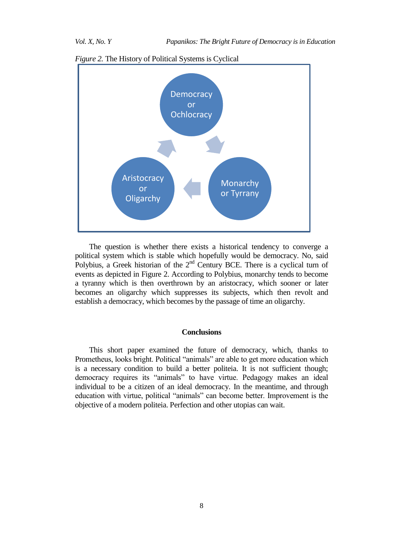

*Figure 2.* The History of Political Systems is Cyclical

The question is whether there exists a historical tendency to converge a political system which is stable which hopefully would be democracy. No, said Polybius, a Greek historian of the  $2<sup>nd</sup>$  Century BCE. There is a cyclical turn of events as depicted in Figure 2. According to Polybius, monarchy tends to become a tyranny which is then overthrown by an aristocracy, which sooner or later becomes an oligarchy which suppresses its subjects, which then revolt and establish a democracy, which becomes by the passage of time an oligarchy.

### **Conclusions**

This short paper examined the future of democracy, which, thanks to Prometheus, looks bright. Political "animals" are able to get more education which is a necessary condition to build a better politeia. It is not sufficient though; democracy requires its "animals" to have virtue. Pedagogy makes an ideal individual to be a citizen of an ideal democracy. In the meantime, and through education with virtue, political "animals" can become better. Improvement is the objective of a modern politeia. Perfection and other utopias can wait.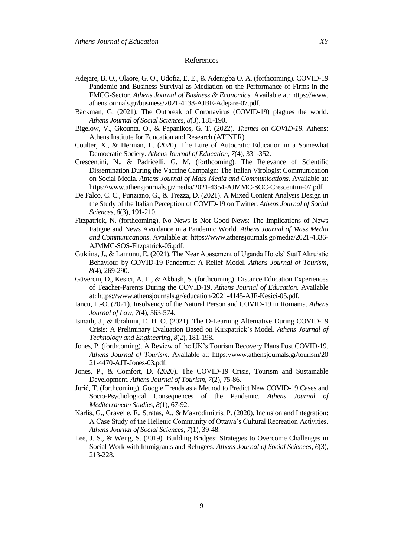#### References

- Adejare, B. O., Olaore, G. O., Udofia, E. E., & Adenigba O. A. (forthcoming). COVID-19 Pandemic and Business Survival as Mediation on the Performance of Firms in the FMCG-Sector. *Athens Journal of Business & Economics*. Available at: https://www. athensjournals.gr/business/2021-4138-AJBE-Adejare-07.pdf.
- Bäckman, G. (2021). The Outbreak of Coronavirus (COVID-19) plagues the world. *Athens Journal of Social Sciences, 8*(3), 181-190.
- Bigelow, V., Gkounta, O., & Papanikos, G. T. (2022). *Themes on COVID-19*. Athens: Athens Institute for Education and Research (ATINER).
- Coulter, X., & Herman, L. (2020). The Lure of Autocratic Education in a Somewhat Democratic Society. *Athens Journal of Education*, *7*(4), 331-352.
- Crescentini, N., & Padricelli, G. M. (forthcoming). The Relevance of Scientific Dissemination During the Vaccine Campaign: The Italian Virologist Communication on Social Media. *Athens Journal of Mass Media and Communications*. Available at: [https://www.athensjournals.gr/media/2021-4354-AJMMC-SOC-Crescentini-07.pdf.](https://www.athensjournals.gr/media/2021-4354-AJMMC-SOC-Crescentini-07.pdf)
- De Falco, C. C., Punziano, G., & Trezza, D. (2021). A Mixed Content Analysis Design in the Study of the Italian Perception of COVID-19 on Twitter. *Athens Journal of Social Sciences, 8*(3), 191-210.
- Fitzpatrick, N. (forthcoming). No News is Not Good News: The Implications of News Fatigue and News Avoidance in a Pandemic World. *Athens Journal of Mass Media and Communications*. Available at: [https://www.athensjournals.gr/media/2021-4336-](https://www.athensjournals.gr/media/2021-4336-AJMMC-SOS-Fitzpatrick-05.pdf) [AJMMC-SOS-Fitzpatrick-05.pdf.](https://www.athensjournals.gr/media/2021-4336-AJMMC-SOS-Fitzpatrick-05.pdf)
- Gukiina, J., & Lamunu, E. (2021). The Near Abasement of Uganda Hotels' Staff Altruistic Behaviour by COVID-19 Pandemic: A Relief Model. *Athens Journal of Tourism, 8*(4), 269-290.
- Güvercin, D., Kesici, A. E., & Akbaşlı, S. (forthcoming). Distance Education Experiences of Teacher-Parents During the COVID-19. *Athens Journal of Education*. Available at: [https://www.athensjournals.gr/education/2021-4145-AJE-Kesici-05.pdf.](https://www.athensjournals.gr/education/2021-4145-AJE-Kesici-05.pdf)
- Iancu, L.-O. (2021). Insolvency of the Natural Person and COVID-19 in Romania. *Athens Journal of Law, 7*(4), 563-574.
- Ismaili, J., & Ibrahimi, E. H. O. (2021). The D-Learning Alternative During COVID-19 Crisis: A Preliminary Evaluation Based on Kirkpatrick's Model. *Athens Journal of Technology and Engineering, 8*(2), 181-198.
- Jones, P. (forthcoming). A Review of the UK's Tourism Recovery Plans Post COVID-19. *Athens Journal of Tourism*. Available at: https://www.athensjournals.gr/tourism/20 21-4470-AJT-Jones-03.pdf.
- Jones, P., & Comfort, D. (2020). The COVID-19 Crisis, Tourism and Sustainable Development. *Athens Journal of Tourism, 7*(2), 75-86.
- Jurić, T. (forthcoming). Google Trends as a Method to Predict New COVID-19 Cases and Socio-Psychological Consequences of the Pandemic. *Athens Journal of Mediterranean Studies*, *8*(1), 67-92.
- Karlis, G., Gravelle, F., Stratas, A., & Makrodimitris, P. (2020). Inclusion and Integration: A Case Study of the Hellenic Community of Ottawa's Cultural Recreation Activities. *Athens Journal of Social Sciences*, *7*(1), 39-48.
- Lee, J. S., & Weng, S. (2019). Building Bridges: Strategies to Overcome Challenges in Social Work with Immigrants and Refugees. *Athens Journal of Social Sciences*, *6*(3), 213-228.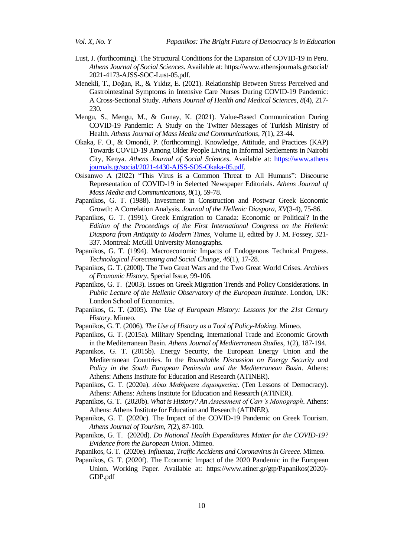- Lust, J. (forthcoming). The Structural Conditions for the Expansion of COVID-19 in Peru. *Athens Journal of Social Sciences.* Available at: https://www.athensjournals.gr/social/ 2021-4173-AJSS-SOC-Lust-05.pdf.
- Menekli, T., Doğan, R., & Yıldız, E. (2021). Relationship Between Stress Perceived and Gastrointestinal Symptoms in Intensive Care Nurses During COVID-19 Pandemic: A Cross-Sectional Study. *Athens Journal of Health and Medical Sciences, 8*(4), 217- 230.
- Mengu, S., Mengu, M., & Gunay, K. (2021). Value-Based Communication During COVID-19 Pandemic: A Study on the Twitter Messages of Turkish Ministry of Health. *Athens Journal of Mass Media and Communications, 7*(1), 23-44.
- Okaka, F. O., & Omondi, P. (forthcoming). Knowledge, Attitude, and Practices (KAP) Towards COVID-19 Among Older People Living in Informal Settlements in Nairobi City, Kenya. *Athens Journal of Social Sciences*. Available at: https://www.athens journals.gr/social/2021-4430-AJSS-SOS-Okaka-05.pdf.
- Osisanwo A (2022) "This Virus is a Common Threat to All Humans": Discourse Representation of COVID-19 in Selected Newspaper Editorials. *Athens Journal of Mass Media and Communications, 8*(1), 59-78.
- Papanikos, G. T. (1988). Investment in Construction and Postwar Greek Economic Growth: A Correlation Analysis. *Journal of the Hellenic Diaspora, XV*(3-4), 75-86.
- Papanikos, G. T. (1991). Greek Emigration to Canada: Economic or Political? In the *Edition of the Proceedings of the First International Congress on the Hellenic Diaspora from Antiquity to Modern Times*, Volume II, edited by J. M. Fossey, 321- 337. Montreal: McGill University Monographs.
- Papanikos, G. T. (1994). Macroeconomic Impacts of Endogenous Technical Progress. *Technological Forecasting and Social Change, 46*(1), 17-28.
- Papanikos, G. T. (2000). The Two Great Wars and the Two Great World Crises. *Archives of Economic History,* Special Issue, 99-106.
- Papanikos, G. T. (2003). Issues on Greek Migration Trends and Policy Considerations. In *Public Lecture of the Hellenic Observatory of the European Institute*. London, UK: London School of Economics.
- Papanikos, G. T. (2005). *The Use of European History: Lessons for the 21st Century History*. Mimeo.
- Papanikos, G. T. (2006). *The Use of History as a Tool of Policy-Making*. Mimeo.
- Papanikos, G. T. (2015a). Military Spending, International Trade and Economic Growth in the Mediterranean Basin. *Athens Journal of Mediterranean Studies*, *1*(2), 187-194.
- Papanikos, G. T. (2015b). Energy Security, the European Energy Union and the Mediterranean Countries. In the *Roundtable Discussion on Energy Security and Policy in the South European Peninsula and the Mediterranean Basin*. Athens: Athens: Athens Institute for Education and Research (ATINER).
- Papanikos, G. T. (2020a). *Δέκα Μαθήματα Δημοκρατίας.* (Ten Lessons of Democracy). Athens: Athens: Athens Institute for Education and Research (ATINER).
- Papanikos, G. T. (2020b). *What is History? An Assessment of Carr's Monograph*. Athens: Athens: Athens Institute for Education and Research (ATINER).
- Papanikos, G. T. (2020c). The Impact of the COVID-19 Pandemic on Greek Tourism. *Athens Journal of Tourism*, *7*(2), 87-100.
- Papanikos, G. T. (2020d). *Do National Health Expenditures Matter for the COVID-19? Evidence from the European Union*. Mimeo.
- Papanikos, G. T. (2020e). *Influenza, Traffic Accidents and Coronavirus in Greece*. Mimeo.
- Papanikos, G. T. (2020f). The Economic Impact of the 2020 Pandemic in the European Union. Working Paper. Available at: [https://www.atiner.gr/gtp/Papanikos\(2020\)-](https://www.atiner.gr/gtp/Papanikos(2020)-GDP.pdf) [GDP.pdf](https://www.atiner.gr/gtp/Papanikos(2020)-GDP.pdf)